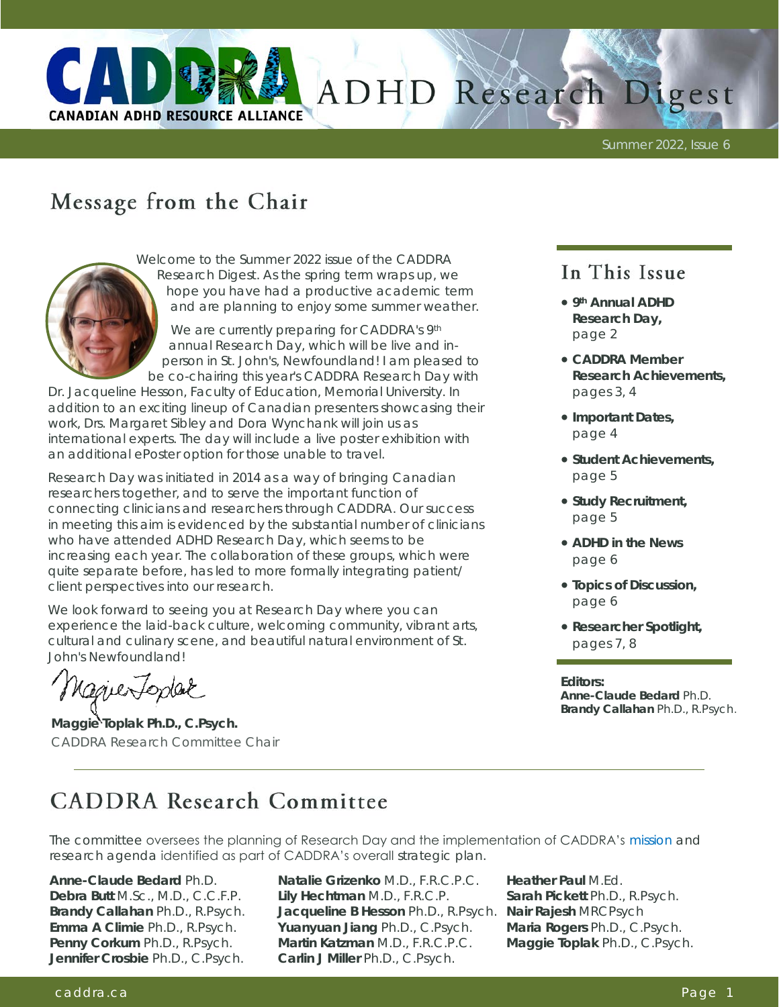

# ADHD Research Digest

Summer 2022, Issue 6

# Message from the Chair



Welcome to the Summer 2022 issue of the CADDRA Research Digest. As the spring term wraps up, we hope you have had a productive academic term and are planning to enjoy some summer weather.

We are currently preparing for CADDRA's 9th annual Research Day, which will be live and inperson in St. John's, Newfoundland! I am pleased to be co-chairing this year's CADDRA Research Day with

Dr. Jacqueline Hesson, Faculty of Education, Memorial University. In addition to an exciting lineup of Canadian presenters showcasing their work, Drs. Margaret Sibley and Dora Wynchank will join us as international experts. The day will include a live poster exhibition with an additional ePoster option for those unable to travel.

Research Day was initiated in 2014 as a way of bringing Canadian researchers together, and to serve the important function of connecting clinicians and researchers through CADDRA. Our success in meeting this aim is evidenced by the substantial number of clinicians who have attended ADHD Research Day, which seems to be increasing each year. The collaboration of these groups, which were quite separate before, has led to more formally integrating patient/ client perspectives into our research.

We look forward to seeing you at Research Day where you can experience the laid-back culture, welcoming community, vibrant arts, cultural and culinary scene, and beautiful natural environment of St. John's Newfoundland!

Naguerfordak

**Maggie Toplak Ph.D., C.Psych.** CADDRA Research Committee Chair

### In This Issue

- **9th Annual ADHD Research Day,**  page 2
- **CADDRA Member Research Achievements,**  pages 3, 4
- **Important Dates,**  page 4
- **Student Achievements,**  page 5
- **Study Recruitment,**  page 5
- **ADHD in the News**  page 6
- **Topics of Discussion,**  page 6
- **Researcher Spotlight,**  pages 7, 8

**Editors: Anne-Claude Bedard** Ph.D. **Brandy Callahan** Ph.D., R.Psych.

# **CADDRA Research Committee**

The committee oversees the planning of Research Day and the implementation of CADDRA's [mission](https://www.caddra.ca/overview/) and research agenda identified as part of CADDRA's overall strategic plan.

**Anne-Claude Bedard** Ph.D. **Debra Butt** M.Sc., M.D., C.C.F.P. **Brandy Callahan** Ph.D., R.Psych. **Emma A Climie** Ph.D., R.Psych. **Penny Corkum** Ph.D., R.Psych. **Jennifer Crosbie** Ph.D., C.Psych.

**Natalie Grizenko** M.D., F.R.C.P.C. **Lily Hechtman** M.D., F.R.C.P. **Jacqueline B Hesson** Ph.D., R.Psych. **Nair Rajesh** MRCPsych **Yuanyuan Jiang** Ph.D., C.Psych. **Martin Katzman** M.D., F.R.C.P.C. **Carlin J Miller** Ph.D., C.Psych.

**Heather Paul** M.Ed. **Sarah Pickett** Ph.D., R.Psych. **Maria Rogers** Ph.D., C.Psych. **Maggie Toplak** Ph.D., C.Psych.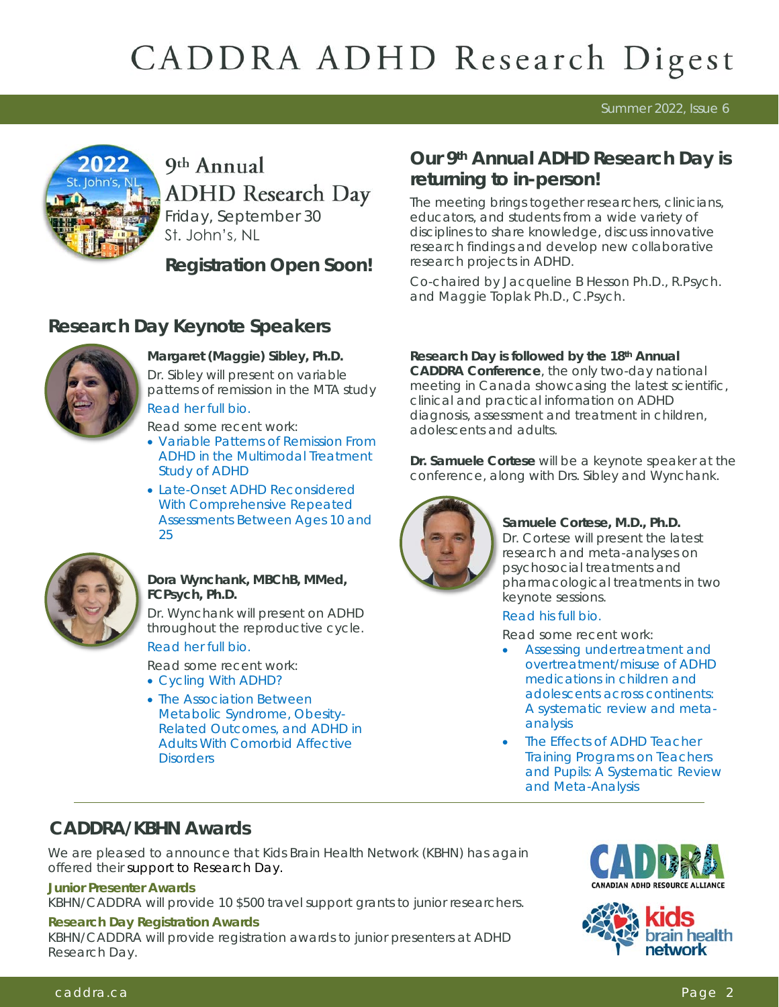Summer 2022, Issue 6



### 9th Annual **ADHD** Research Day Friday, September 30

St. John's, NL

**Registration Open Soon!** 

### **Research Day Keynote Speakers**



**Margaret (Maggie) Sibley, Ph.D.** Dr. Sibley will present on variable patterns of remission in the MTA study [Read her full bio.](http://caddra.joynadmin.org/documents/1033/62a39ef6c2d0c51e9c52b7c2.pdf) 

Read some recent work:

- [Variable Patterns of Remission From](https://ajp.psychiatryonline.org/doi/pdf/10.1176/appi.ajp.2021.21010032)  [ADHD in the Multimodal Treatment](https://ajp.psychiatryonline.org/doi/pdf/10.1176/appi.ajp.2021.21010032)  [Study of ADHD](https://ajp.psychiatryonline.org/doi/pdf/10.1176/appi.ajp.2021.21010032)
- [Late-Onset ADHD Reconsidered](https://ajp.psychiatryonline.org/doi/full/10.1176/appi.ajp.2017.17030298)  [With Comprehensive Repeated](https://ajp.psychiatryonline.org/doi/full/10.1176/appi.ajp.2017.17030298)  [Assessments Between Ages 10 and](https://ajp.psychiatryonline.org/doi/full/10.1176/appi.ajp.2017.17030298)  [25](https://ajp.psychiatryonline.org/doi/full/10.1176/appi.ajp.2017.17030298)



**Dora Wynchank, MBChB, MMed, FCPsych, Ph.D.** 

Dr. Wynchank will present on ADHD throughout the reproductive cycle. [Read her full bio.](http://caddra.joynadmin.org/documents/1033/62a39f01473d61409334bf22.pdf) 

Read some recent work:

- [Cycling With ADHD?](https://journals.co.za/doi/full/10.10520/ejc-menhm_v8_n6_a3)
- [The Association Between](https://www.researchgate.net/profile/Dora-Wynchank/publication/305364357_The_Association_Between_Metabolic_Syndrome_Obesity-Related_Outcomes_and_ADHD_in_Adults_With_Comorbid_Affective_Disorders/links/5bb73b58a6fdcc9552d44545/The-Association-Between-Metabol)  [Metabolic Syndrome, Obesity-](https://www.researchgate.net/profile/Dora-Wynchank/publication/305364357_The_Association_Between_Metabolic_Syndrome_Obesity-Related_Outcomes_and_ADHD_in_Adults_With_Comorbid_Affective_Disorders/links/5bb73b58a6fdcc9552d44545/The-Association-Between-Metabol)[Related Outcomes, and ADHD in](https://www.researchgate.net/profile/Dora-Wynchank/publication/305364357_The_Association_Between_Metabolic_Syndrome_Obesity-Related_Outcomes_and_ADHD_in_Adults_With_Comorbid_Affective_Disorders/links/5bb73b58a6fdcc9552d44545/The-Association-Between-Metabol)  [Adults With Comorbid Affective](https://www.researchgate.net/profile/Dora-Wynchank/publication/305364357_The_Association_Between_Metabolic_Syndrome_Obesity-Related_Outcomes_and_ADHD_in_Adults_With_Comorbid_Affective_Disorders/links/5bb73b58a6fdcc9552d44545/The-Association-Between-Metabol)  [Disorders](https://www.researchgate.net/profile/Dora-Wynchank/publication/305364357_The_Association_Between_Metabolic_Syndrome_Obesity-Related_Outcomes_and_ADHD_in_Adults_With_Comorbid_Affective_Disorders/links/5bb73b58a6fdcc9552d44545/The-Association-Between-Metabol)

**Our 9th Annual ADHD Research Day is returning to in-person!** 

The meeting brings together researchers, clinicians, educators, and students from a wide variety of disciplines to share knowledge, discuss innovative research findings and develop new collaborative research projects in ADHD.

Co-chaired by Jacqueline B Hesson Ph.D., R.Psych. and Maggie Toplak Ph.D., C.Psych.

**Research Day is followed by the 18th Annual CADDRA Conference**, the only two-day national meeting in Canada showcasing the latest scientific, clinical and practical information on ADHD diagnosis, assessment and treatment in children, adolescents and adults.

**Dr. Samuele Cortese** will be a keynote speaker at the conference, along with Drs. Sibley and Wynchank.



**Samuele Cortese, M.D., Ph.D.** Dr. Cortese will present the latest research and meta-analyses on psychosocial treatments and pharmacological treatments in two keynote sessions.

#### [Read his full bio.](http://caddra.joynadmin.org/documents/1033/62a39edd5f47c81390392672.pdf)

Read some recent work:

- [Assessing undertreatment and](https://www.sciencedirect.com/science/article/abs/pii/S0149763421002396)  [overtreatment/misuse of ADHD](https://www.sciencedirect.com/science/article/abs/pii/S0149763421002396)  [medications in children and](https://www.sciencedirect.com/science/article/abs/pii/S0149763421002396)  [adolescents across continents:](https://www.sciencedirect.com/science/article/abs/pii/S0149763421002396)  [A systematic review and meta](https://www.sciencedirect.com/science/article/abs/pii/S0149763421002396)[analysis](https://www.sciencedirect.com/science/article/abs/pii/S0149763421002396)
- The Effects of ADHD Teacher [Training Programs on Teachers](https://journals.sagepub.com/doi/pdf/10.1177/1087054720972801)  [and Pupils: A Systematic Review](https://journals.sagepub.com/doi/pdf/10.1177/1087054720972801)  [and Meta-Analysis](https://journals.sagepub.com/doi/pdf/10.1177/1087054720972801)

### **CADDRA/KBHN Awards**

We are pleased to announce that Kids Brain Health Network (KBHN) has again offered their support to Research Day.

**Junior Presenter Awards** 

KBHN/CADDRA will provide 10 \$500 travel support grants to junior researchers.

#### **Research Day Registration Awards**

KBHN/CADDRA will provide registration awards to junior presenters at ADHD Research Day.



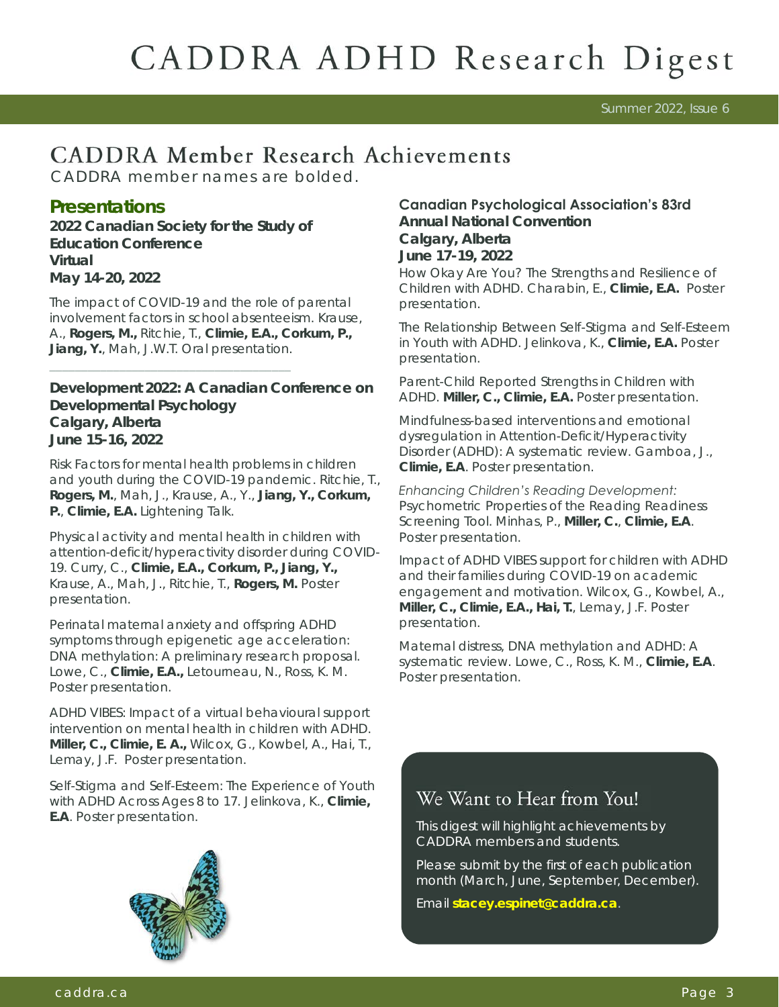Summer 2022, Issue 6

# **CADDRA Member Research Achievements**

CADDRA member names are bolded.

#### **Presentations**

**2022 Canadian Society for the Study of Education Conference Virtual May 14-20, 2022**

*The impact of COVID-19 and the role of parental involvement factors in school absenteeism.* Krause, A., **Rogers, M.,** Ritchie, T., **Climie, E.A., Corkum, P., Jiang, Y.**, Mah, J.W.T. Oral presentation.

**Development 2022: A Canadian Conference on Developmental Psychology Calgary, Alberta June 15-16, 2022**

*Risk Factors for mental health problems in children and youth during the COVID-19 pandemic.* Ritchie, T., **Rogers, M.**, Mah, J., Krause, A., Y., **Jiang, Y., Corkum, P.**, **Climie, E.A.** Lightening Talk.

*Physical activity and mental health in children with attention-deficit/hyperactivity disorder during COVID-19.* Curry, C., **Climie, E.A., Corkum, P., Jiang, Y.,**  Krause, A., Mah, J., Ritchie, T., **Rogers, M.** Poster presentation.

*Perinatal maternal anxiety and offspring ADHD symptoms through epigenetic age acceleration: DNA methylation: A preliminary research proposal.*  Lowe, C., **Climie, E.A.,** Letourneau, N., Ross, K. M. Poster presentation.

*ADHD VIBES: Impact of a virtual behavioural support intervention on mental health in children with ADHD.*  **Miller, C., Climie, E. A.,** Wilcox, G., Kowbel, A., Hai, T., Lemay, J.F. Poster presentation.

*Self-Stigma and Self-Esteem: The Experience of Youth with ADHD Across Ages 8 to 17.* Jelinkova, K., **Climie, E.A**. Poster presentation.



#### **Canadian Psychological Association's 83rd**

**Annual National Convention Calgary, Alberta June 17-19, 2022** *How Okay Are You? The Strengths and Resilience of Children with ADHD.* Charabin, E., **Climie, E.A.** Poster presentation.

*The Relationship Between Self-Stigma and Self-Esteem in Youth with ADHD.* Jelinkova, K., **Climie, E.A.** Poster presentation.

*Parent-Child Reported Strengths in Children with ADHD.* **Miller, C., Climie, E.A.** Poster presentation.

*Mindfulness-based interventions and emotional dysregulation in Attention-Deficit/Hyperactivity Disorder (ADHD): A systematic review.* Gamboa, J., **Climie, E.A**. Poster presentation.

*Enhancing Children's Reading Development: Psychometric Properties of the Reading Readiness Screening Tool.* Minhas, P., **Miller, C.**, **Climie, E.A**. Poster presentation.

*Impact of ADHD VIBES support for children with ADHD and their families during COVID-19 on academic engagement and motivation.* Wilcox, G., Kowbel, A., **Miller, C., Climie, E.A., Hai, T.**, Lemay, J.F. Poster presentation.

*Maternal distress, DNA methylation and ADHD: A systematic review.* Lowe, C., Ross, K. M., **Climie, E.A**. Poster presentation.

### We Want to Hear from You!

This digest will highlight achievements by CADDRA members and students.

Please submit by the first of each publication month (March, June, September, December).

Email **[stacey.espinet@caddra.ca](mailto:stacey.espinet@caddra.ca)**.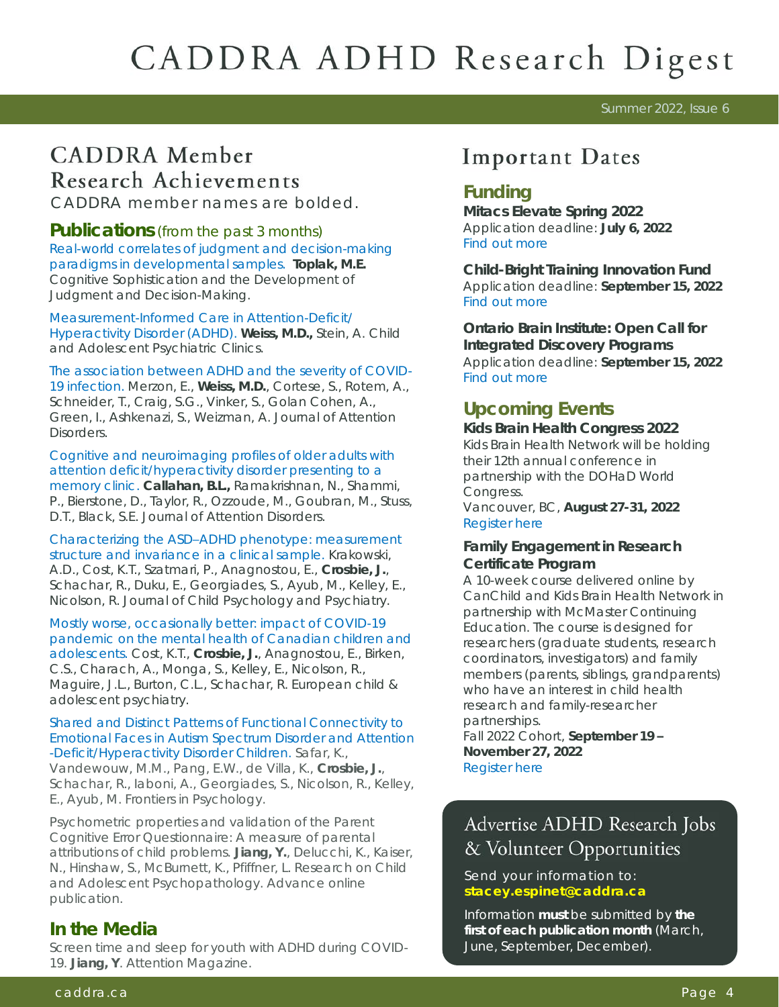#### Summer 2022, Issue 6

# **CADDRA** Member **Research Achievements**<br>CADDRA member names are bolded.

**Publications** (from the past 3 months) *[Real-world correlates of judgment and decision-making](http://keithstanovich.com/Site/Research_on_Reasoning_files/Toplak_West_Stanovich_JBDM_2017.pdf)  [paradigms in developmental samples.](http://keithstanovich.com/Site/Research_on_Reasoning_files/Toplak_West_Stanovich_JBDM_2017.pdf)* **Toplak, M.E.** Cognitive Sophistication and the Development of Judgment and Decision-Making.

*[Measurement-Informed Care in Attention-Deficit/](https://www.researchgate.net/publication/360532359_Measurement-Informed_Care_in_Attention-DeficitHyperactivity_Disorder_ADHD) [Hyperactivity Disorder \(ADHD\).](https://www.researchgate.net/publication/360532359_Measurement-Informed_Care_in_Attention-DeficitHyperactivity_Disorder_ADHD)* **Weiss, M.D.,** Stein, A. Child and Adolescent Psychiatric Clinics.

*[The association between ADHD and the severity of COVID-](https://journals.sagepub.com/doi/pdf/10.1177/10870547211003659)[19 infection.](https://journals.sagepub.com/doi/pdf/10.1177/10870547211003659)* Merzon, E., **Weiss, M.D.**, Cortese, S., Rotem, A., Schneider, T., Craig, S.G., Vinker, S., Golan Cohen, A., Green, I., Ashkenazi, S., Weizman, A. Journal of Attention Disorders.

*[Cognitive and neuroimaging profiles of older adults with](https://journals.sagepub.com/doi/pdf/10.1177/10870547211060546)  [attention deficit/hyperactivity disorder presenting to a](https://journals.sagepub.com/doi/pdf/10.1177/10870547211060546)  [memory clinic.](https://journals.sagepub.com/doi/pdf/10.1177/10870547211060546)* **Callahan, B.L.,** Ramakrishnan, N., Shammi, P., Bierstone, D., Taylor, R., Ozzoude, M., Goubran, M., Stuss, D.T., Black, S.E. Journal of Attention Disorders.

*Characterizing the ASD–[ADHD phenotype: measurement](https://acamh.onlinelibrary.wiley.com/doi/abs/10.1111/jcpp.13609)  [structure and invariance in a clinical sample.](https://acamh.onlinelibrary.wiley.com/doi/abs/10.1111/jcpp.13609)* Krakowski, A.D., Cost, K.T., Szatmari, P., Anagnostou, E., **Crosbie, J.**, Schachar, R., Duku, E., Georgiades, S., Ayub, M., Kelley, E., Nicolson, R. Journal of Child Psychology and Psychiatry.

*[Mostly worse, occasionally better: impact of COVID-19](https://pubmed.ncbi.nlm.nih.gov/33638005/)  [pandemic on the mental health of Canadian children and](https://pubmed.ncbi.nlm.nih.gov/33638005/)  [adolescents.](https://pubmed.ncbi.nlm.nih.gov/33638005/)* Cost, K.T., **Crosbie, J.**, Anagnostou, E., Birken, C.S., Charach, A., Monga, S., Kelley, E., Nicolson, R., Maguire, J.L., Burton, C.L., Schachar, R. European child & adolescent psychiatry.

#### *[Shared and Distinct Patterns of Functional Connectivity to](https://www.frontiersin.org/articles/10.3389/fpsyg.2022.826527/full)  [Emotional Faces in Autism Spectrum Disorder and Attention](https://www.frontiersin.org/articles/10.3389/fpsyg.2022.826527/full) [-Deficit/Hyperactivity Disorder Children.](https://www.frontiersin.org/articles/10.3389/fpsyg.2022.826527/full)* Safar, K.,

Vandewouw, M.M., Pang, E.W., de Villa, K., **Crosbie, J.**, Schachar, R., Iaboni, A., Georgiades, S., Nicolson, R., Kelley, E., Ayub, M. Frontiers in Psychology.

*Psychometric properties and validation of the Parent Cognitive Error Questionnaire: A measure of parental attributions of child problems.* **Jiang, Y.**, Delucchi, K., Kaiser, N., Hinshaw, S., McBurnett, K., Pfiffner, L. Research on Child and Adolescent Psychopathology. Advance online publication.

#### **In the Media**

*Screen time and sleep for youth with ADHD during COVID-19.* **Jiang, Y**. Attention Magazine.

### **Important Dates**

**Mitacs Elevate Spring 2022** Application deadline: **July 6, 2022** [Find out more](https://www.mitacs.ca/en/programs/elevate/program-details/postdoctoral-fellows?utm_source=ClickDimensions&utm_medium=Email&utm_campaign=Mitacs_Newsletter_Email_MAY2022&_cldee=3PvVwzdSXMZtaULJXH9jtuF6g4RTxvVMIpi2ASBvVVMl1oUlT2y02F5opZiSmDaV&recipientid=cont) 

**Child-Bright Training Innovation Fund**  Application deadline: **September 15, 2022**  [Find out more](https://www.child-bright.ca/training-innovation-fund)

**Ontario Brain Institute: Open Call for Integrated Discovery Programs**  Application deadline: **September 15, 2022**  [Find out more](https://braininstitute.ca/register-to-apply) 

#### **Upcoming Events**

**Kids Brain Health Congress 2022**  Kids Brain Health Network will be holding their 12th annual conference in partnership with the DOHaD World Congress.

Vancouver, BC, **August 27-31, 2022** [Register here](https://www.dohad2022.com/registration)

**Family Engagement in Research Certificate Program**

A 10-week course delivered online by CanChild and Kids Brain Health Network in partnership with McMaster Continuing Education. The course is designed for researchers (graduate students, research coordinators, investigators) and family members (parents, siblings, grandparents) who have an interest in child health research and family-researcher partnerships.

Fall 2022 Cohort, **September 19 – November 27, 2022** [Register here](https://kidsbrainhealth.ca/index.php/training/training-careers-opp/family-engagement-in-research-course/) 

### Advertise ADHD Research Jobs & Volunteer Opportunities

Send your information to: **[stacey.espinet@caddra.ca](mailto:stacey.espinet@caddra.ca)**

Information **must** be submitted by **the first of each publication month** (March, June, September, December).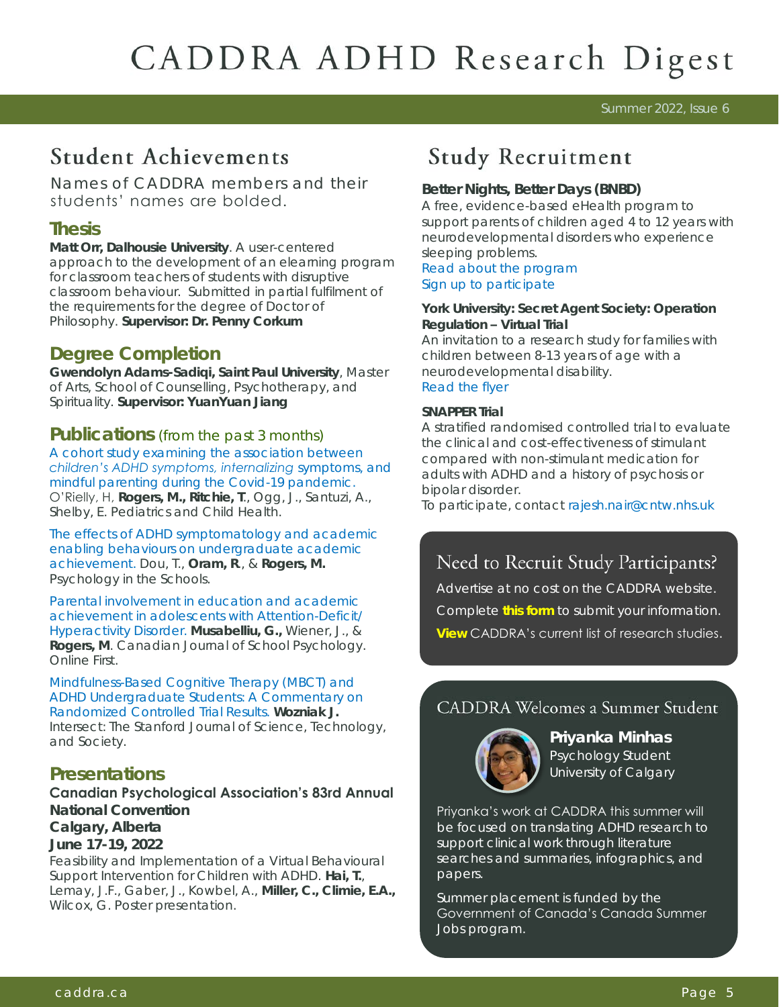Summer 2022, Issue 6

## **Student Achievements**

Names of CADDRA members and their students' names are bolded.

#### **Thesis**

**Matt Orr, Dalhousie University**. *A user-centered approach to the development of an elearning program for classroom teachers of students with disruptive classroom behaviour.* Submitted in partial fulfilment of the requirements for the degree of Doctor of Philosophy. **Supervisor: Dr. Penny Corkum**

#### **Degree Completion**

**Gwendolyn Adams-Sadiqi, Saint Paul University**, Master of Arts, School of Counselling, Psychotherapy, and Spirituality. **Supervisor: YuanYuan Jiang** 

#### **Publications** (from the past 3 months)

*[A cohort study examining the association between](https://www.ncbi.nlm.nih.gov/pmc/articles/PMC9126277/)  [children's ADHD symptoms, internalizing](https://www.ncbi.nlm.nih.gov/pmc/articles/PMC9126277/) symptoms, and [mindful parenting during the Covid-19 pandemic.](https://www.ncbi.nlm.nih.gov/pmc/articles/PMC9126277/)*  O'Rielly, H, **Rogers, M., Ritchie, T**., Ogg, J., Santuzi, A., Shelby, E. Pediatrics and Child Health.

*[The effects of ADHD symptomatology and academic](https://onlinelibrary.wiley.com/doi/abs/10.1002/pits.22632)  [enabling behaviours on undergraduate academic](https://onlinelibrary.wiley.com/doi/abs/10.1002/pits.22632)  [achievement](https://onlinelibrary.wiley.com/doi/abs/10.1002/pits.22632)*. Dou, T., **Oram, R**., & **Rogers, M.** Psychology in the Schools.

*[Parental involvement in education and academic](https://journals.sagepub.com/doi/abs/10.1177/08295735221092959)  [achievement in adolescents with Attention-Deficit/](https://journals.sagepub.com/doi/abs/10.1177/08295735221092959) [Hyperactivity Disorder](https://journals.sagepub.com/doi/abs/10.1177/08295735221092959)*. **Musabelliu, G.,** Wiener, J., & **Rogers, M**. Canadian Journal of School Psychology. Online First.

*[Mindfulness-Based Cognitive Therapy \(MBCT\) and](https://ojs.stanford.edu/ojs/index.php/intersect/article/view/2035)  [ADHD Undergraduate Students: A Commentary on](https://ojs.stanford.edu/ojs/index.php/intersect/article/view/2035)  [Randomized Controlled Trial Results.](https://ojs.stanford.edu/ojs/index.php/intersect/article/view/2035)* **Wozniak J.**  Intersect: The Stanford Journal of Science, Technology, and Society.

#### **Presentations**

#### **Canadian Psychological Association's 83rd Annual**

**National Convention Calgary, Alberta**

**June 17-19, 2022** *Feasibility and Implementation of a Virtual Behavioural Support Intervention for Children with ADHD.* **Hai, T.**, Lemay, J.F., Gaber, J., Kowbel, A., **Miller, C., Climie, E.A.,**  Wilcox, G. Poster presentation.

# **Study Recruitment**

**Better Nights, Better Days (BNBD)** A free, evidence-based eHealth program to support parents of children aged 4 to 12 years with neurodevelopmental disorders who experience sleeping problems. [Read about the program](https://ndd.betternightsbetterdays.ca/can-i-participate-0)  [Sign up to participate](https://redcap.its.dal.ca/surveys/?s=XALXWHCNDFX8LKDC)

**York University: Secret Agent Society: Operation Regulation – Virtual Trial**  An invitation to a research study for families with children between 8-13 years of age with a neurodevelopmental disability. [Read the flyer](http://caddra.joynadmin.org/documents/1033/62a76d0ff93a6145e47d9612.pdf) 

#### **SNAPPER Trial**

A stratified randomised controlled trial to evaluate the clinical and cost-effectiveness of stimulant compared with non-stimulant medication for adults with ADHD and a history of psychosis or bipolar disorder.

To participate, contact [rajesh.nair@cntw.nhs.uk](mailto:rajesh.nair@cntw.nhs.uk) 

### Need to Recruit Study Participants?

Advertise at no cost on the CADDRA website. Complete **[this form](https://form.jotform.com/90555799981276)** to submit your information. **[View](https://www.caddra.ca/research-studies-listings/)** CADDRA's current list of research studies.

### **CADDRA Welcomes a Summer Student**



**Priyanka Minhas**  Psychology Student University of Calgary

Priyanka's work at CADDRA this summer will be focused on translating ADHD research to support clinical work through literature searches and summaries, infographics, and papers.

Summer placement is funded by the Government of Canada's Canada Summer Jobs program.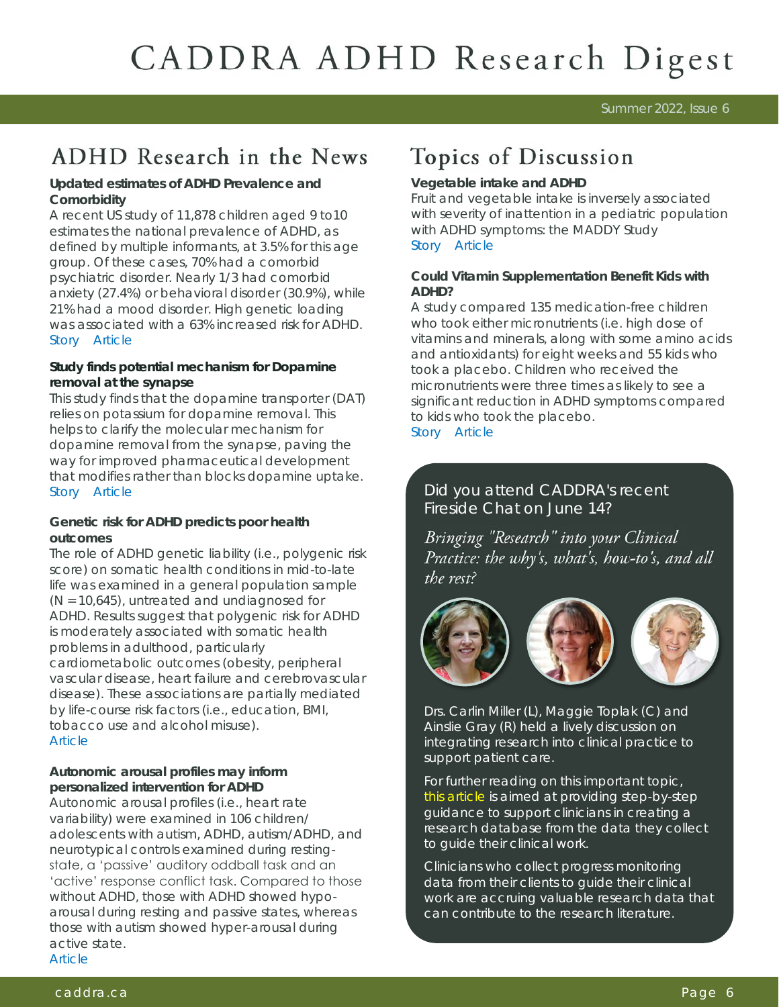Summer 2022, Issue 6

# ADHD Research in the News

**Updated estimates of ADHD Prevalence and Comorbidity** 

A recent US study of 11,878 children aged 9 to10 estimates the national prevalence of ADHD, as defined by multiple informants, at 3.5% for this age group. Of these cases, 70% had a comorbid psychiatric disorder. Nearly 1/3 had comorbid anxiety (27.4%) or behavioral disorder (30.9%), while 21% had a mood disorder. High genetic loading was associated with a 63% increased risk for ADHD. [Story](https://www.psychiatryadvisor.com/home/topics/adhd/prevalence-estimates-for-adhd-and-comorbid-medical-conditions/?utm_source=newsletter&utm_medium=email&utm_campaign=pa-update-hay-20220518&cpn=&hmSubId=vOn4QEeZ96g1&hmEmail=zZjBoV7X_kswzOcRHEp9qgPakzuhiBC7gqbP) [Article](https://pubmed.ncbi.nlm.nih.gov/35427730/)

**Study finds potential mechanism for Dopamine removal at the synapse** 

This study finds that the dopamine transporter (DAT) relies on potassium for dopamine removal. This helps to clarify the molecular mechanism for dopamine removal from the synapse, paving the way for improved pharmaceutical development that modifies rather than blocks dopamine uptake. [Story](https://www.sciencedaily.com/releases/2022/05/220518101746.htm) [Article](https://pubmed.ncbi.nlm.nih.gov/35508541/)

**Genetic risk for ADHD predicts poor health outcomes** 

The role of ADHD genetic liability (i.e., polygenic risk score) on somatic health conditions in mid-to-late life was examined in a general population sample (N = 10,645), untreated and undiagnosed for ADHD. Results suggest that polygenic risk for ADHD is moderately associated with somatic health problems in adulthood, particularly cardiometabolic outcomes (obesity, peripheral vascular disease, heart failure and cerebrovascular disease). These associations are partially mediated by life-course risk factors (i.e., education, BMI, tobacco use and alcohol misuse). **Article** 

**Autonomic arousal profiles may inform personalized intervention for ADHD**  Autonomic arousal profiles (i.e., heart rate variability) were examined in 106 children/ adolescents with autism, ADHD, autism/ADHD, and neurotypical controls examined during restingstate, a 'passive' auditory oddball task and an 'active' response conflict task. Compared to those without ADHD, those with ADHD showed hypoarousal during resting and passive states, whereas those with autism showed hyper-arousal during active state. [Article](https://doi.org/10.1007/s10803-021-05244-w) 

# Topics of Discussion

#### **Vegetable intake and ADHD**

Fruit and vegetable intake is inversely associated with severity of inattention in a pediatric population with ADHD symptoms: the MADDY Study [Story](https://tylerpaper.com/lifestyle/health/dietary-intake-tied-to-inattention-with-adhd/article_4ef207a0-dce1-513a-a0d0-560afb5c1a7a.html) [Article](https://www.tandfonline.com/doi/full/10.1080/1028415X.2022.2071805) 

**Could Vitamin Supplementation Benefit Kids with ADHD?**

A study compared 135 medication-free children who took either micronutrients (i.e. high dose of vitamins and minerals, along with some amino acids and antioxidants) for eight weeks and 55 kids who took a placebo. Children who received the micronutrients were three times as likely to see a significant reduction in ADHD symptoms compared to kids who took the placebo. [Story](https://www.verywellmind.com/study-finds-benefit-in-vitamin-supplementation-for-kids-with-adhd-5271250) [Article](https://www.jaacap.org/article/S0890-8567%2821%2900473-1/fulltext) 

Did you attend CADDRA's recent Fireside Chat on June 14?

Bringing "Research" into your Clinical Practice: the why's, what's, how-to's, and all the rest?



Drs. Carlin Miller (L), Maggie Toplak (C) and Ainslie Gray (R) held a lively discussion on integrating research into clinical practice to support patient care.

For further reading on this important topic, [this article](https://static1.squarespace.com/static/5934abbb1b631ba4718d4c2d/t/6176e3a66ed9485493abe55a/1635181478517/Persons+et+al.in+press.Database+paper.Cognitive+and+Behavioral+Practice.docx.pdf) is aimed at providing step-by-step guidance to support clinicians in creating a research database from the data they collect to guide their clinical work.

Clinicians who collect progress monitoring data from their clients to guide their clinical work are accruing valuable research data that can contribute to the research literature.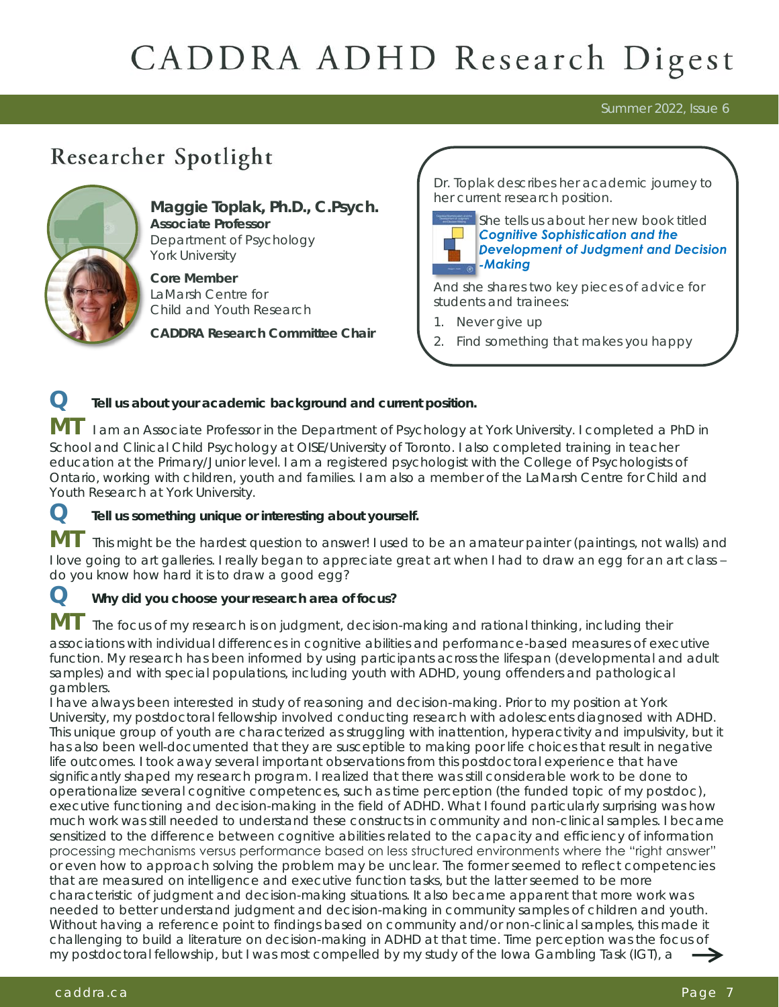Summer 2022, Issue 6

# Researcher Spotlight



**Maggie Toplak, Ph.D., C.Psych. Associate Professor** Department of Psychology York University

**Core Member** LaMarsh Centre for Child and Youth Research

**CADDRA Research Committee Chair** 

Dr. Toplak describes her academic journey to her current research position.



She tells us about her new book titled *[Cognitive Sophistication and the](https://www.elsevier.com/books/cognitive-sophistication-and-the-development-of-judgment-and-decision-making/toplak/978-0-12-816636-9)  [Development of Judgment and Decision](https://www.elsevier.com/books/cognitive-sophistication-and-the-development-of-judgment-and-decision-making/toplak/978-0-12-816636-9) [-Making](https://www.elsevier.com/books/cognitive-sophistication-and-the-development-of-judgment-and-decision-making/toplak/978-0-12-816636-9) [-](https://www.elsevier.com/books/cognitive-sophistication-and-the-development-of-judgment-and-decision-making/toplak/978-0-12-816636-9)*

And she shares two key pieces of advice for students and trainees:

- 1. Never give up
- 2. Find something that makes you happy

**Q Tell us about your academic background and current position.**

**MT** I am an Associate Professor in the Department of Psychology at York University. I completed a PhD in School and Clinical Child Psychology at OISE/University of Toronto. I also completed training in teacher education at the Primary/Junior level. I am a registered psychologist with the College of Psychologists of Ontario, working with children, youth and families. I am also a member of the LaMarsh Centre for Child and Youth Research at York University.

**Q Tell us something unique or interesting about yourself.**

This might be the hardest question to answer! I used to be an amateur painter (paintings, not walls) and I love going to art galleries. I really began to appreciate great art when I had to draw an egg for an art class – do you know how hard it is to draw a good egg?

**Q Why did you choose your research area of focus?**

The focus of my research is on judgment, decision-making and rational thinking, including their associations with individual differences in cognitive abilities and performance-based measures of executive function. My research has been informed by using participants across the lifespan (developmental and adult samples) and with special populations, including youth with ADHD, young offenders and pathological gamblers.

I have always been interested in study of reasoning and decision-making. Prior to my position at York University, my postdoctoral fellowship involved conducting research with adolescents diagnosed with ADHD. This unique group of youth are characterized as struggling with inattention, hyperactivity and impulsivity, but it has also been well-documented that they are susceptible to making poor life choices that result in negative life outcomes. I took away several important observations from this postdoctoral experience that have significantly shaped my research program. I realized that there was still considerable work to be done to operationalize several cognitive competences, such as time perception (the funded topic of my postdoc), executive functioning and decision-making in the field of ADHD. What I found particularly surprising was how much work was still needed to understand these constructs in community and non-clinical samples. I became sensitized to the difference between cognitive abilities related to the capacity and efficiency of information processing mechanisms versus performance based on less structured environments where the "right answer" or even how to approach solving the problem may be unclear. The former seemed to reflect competencies that are measured on intelligence and executive function tasks, but the latter seemed to be more characteristic of judgment and decision-making situations. It also became apparent that more work was needed to better understand judgment and decision-making in community samples of children and youth. Without having a reference point to findings based on community and/or non-clinical samples, this made it challenging to build a literature on decision-making in ADHD at that time. Time perception was the focus of my postdoctoral fellowship, but I was most compelled by my study of the Iowa Gambling Task (IGT), a